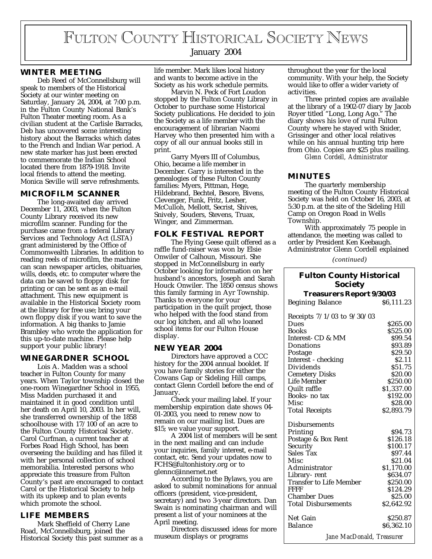# FULTON COUNTY HISTORICAL SOCIETY NEWS

# January 2004

# **WINTER MEETING**

Deb Reed of McConnellsburg will speak to members of the Historical Society at our winter meeting on Saturday, January 24, 2004, at 7:00 p.m. in the Fulton County National Bank's Fulton Theater meeting room. As a civilian student at the Carlisle Barracks, Deb has uncovered some interesting history about the Barracks which dates to the French and Indian War period. A new state marker has just been erected to commemorate the Indian School located there from 1879-1918. Invite local friends to attend the meeting. Monica Seville will serve refreshments.

## **MICROFILM SCANNER**

The long-awaited day arrived December 11, 2003, when the Fulton County Library received its new microfilm scanner. Funding for the purchase came from a federal Library Services and Technology Act (LSTA) grant administered by the Office of Commonwealth Libraries. In addition to reading reels of microfilm, the machine can scan newspaper articles, obituaries, wills, deeds, etc. to computer where the data can be saved to floppy disk for printing or can be sent as an e-mail attachment. This new equipment is available in the Historical Society room at the library for free use; bring your own floppy disk if you want to save the information. A big thanks to Jamie Brambley who wrote the application for this up-to-date machine. Please help support your public library!

#### **WINEGARDNER SCHOOL**

Lois A. Madden was a school teacher in Fulton County for many years. When Taylor township closed the one-room Winegardner School in 1955, Miss Madden purchased it and maintained it in good condition until her death on April 10, 2003. In her will, she transferred ownership of the 1858 schoolhouse with 17/100 of an acre to the Fulton County Historical Society. Carol Curfman, a current teacher at Forbes Road High School, has been overseeing the building and has filled it with her personal collection of school memorabilia. Interested persons who appreciate this treasure from Fulton County's past are encouraged to contact Carol or the Historical Society to help with its upkeep and to plan events which promote the school.

# **LIFE MEMBERS**

Mark Sheffield of Cherry Lane Road, McConnellsburg, joined the Historical Society this past summer as a life member. Mark likes local history and wants to become active in the Society as his work schedule permits.

Marvin N. Peck of Fort Loudon stopped by the Fulton County Library in October to purchase some Historical Society publications. He decided to join the Society as a life member with the encouragement of librarian Naomi Harvey who then presented him with a copy of all our annual books still in print.

Garry Myers III of Columbus, Ohio, became a life member in December. Garry is interested in the genealogies of these Fulton County families: Myers, Pittman, Hege, Hildebrand, Bechtel, Besore, Bivens, Clevenger, Funk, Fritz, Lesher, McCulloh, Mellott, Secrist, Shives, Snively, Souders, Stevens, Truax, Winger, and Zimmerman.

#### **FOLK FESTIVAL REPORT**

The Flying Geese quilt offered as a raffle fund-raiser was won by Elsie Onwiler of Calhoun, Missouri. She stopped in McConnellsburg in early October looking for information on her husband's ancestors, Joseph and Sarah Houck Onwiler. The 1850 census shows this family farming in Ayr Township. Thanks to everyone for your participation in the quilt project, those who helped with the food stand from our log kitchen, and all who loaned school items for our Fulton House display.

#### **NEW YEAR 2004**

Directors have approved a CCC history for the 2004 annual booklet. If you have family stories for either the Cowans Gap or Sideling Hill camps, contact Glenn Cordell before the end of January.

Check your mailing label. If your membership expiration date shows 04- 01-2003, you need to renew now to remain on our mailing list. Dues are \$15; we value your support.

A 2004 list of members will be sent in the next mailing and can include your inquiries, family interest, e-mail contact, etc. Send your updates now to FCHS@fultonhistory.org or to glennc@innernet.net

According to the Bylaws, you are asked to submit nominations for annual officers (president, vice-president, secretary) and two 3-year directors. Dan Swain is nominating chairman and will present a list of your nominees at the April meeting.

Directors discussed ideas for more museum displays or programs

throughout the year for the local community. With your help, the Society would like to offer a wider variety of activities.

Three printed copies are available at the library of a 1902-07 diary by Jacob Royer titled "Long, Long Ago." The diary shows his love of rural Fulton County where he stayed with Snider, Grissinger and other local relatives while on his annual hunting trip here from Ohio. Copies are \$25 plus mailing. *Glenn Cordell, Administrator*

## **MINUTES**

The quarterly membership meeting of the Fulton County Historical Society was held on October 16, 2003, at 5:30 p.m. at the site of the Sideling Hill Camp on Oregon Road in Wells Township.

With approximately 75 people in attendance, the meeting was called to order by President Ken Keebaugh. Administrator Glenn Cordell explained

*(continued)*

# **Fulton County Historical Society**

| <b>Treasurers Report 9/30/03</b> |            |
|----------------------------------|------------|
| <b>Begining Balance</b>          | \$6,111.23 |

| Receipts $7/1/03$ to $9/30/03$ |            |
|--------------------------------|------------|
| Dues                           | \$265.00   |
| <b>Books</b>                   | \$525.00   |
| Interest- CD & MM              | \$99.54    |
| Donations                      | \$93.89    |
| Postage                        | \$29.50    |
| Interest - checking            | \$2.11     |
| Dividends                      | \$51.75    |
| <b>Cemetery Disks</b>          | \$20.00    |
| Life Member                    | \$250.00   |
| Quilt raffle                   | \$1,337.00 |
| Books- no tax                  | \$192.00   |
| Misc                           | \$28.00    |
| <b>Total Receipts</b>          | \$2,893.79 |
|                                |            |
| <b>Disbursements</b>           |            |
| Printing                       | \$94.73    |
| Postage & Box Rent             | \$126.18   |
| Security                       | \$100.17   |
| Sales Tax                      | \$97.44    |
| Misc                           | \$21.04    |
| Administrator                  | \$1,170.00 |
| Library-rent                   | \$634.07   |
| <b>Transfer to Life Member</b> | \$250.00   |
| <b>FFFF</b>                    | \$124.29   |
| <b>Chamber Dues</b>            | \$25.00    |
| <b>Total Disbursements</b>     | \$2,642.92 |
|                                |            |
| Net Gain                       | \$250.87   |
| <b>Balance</b>                 | \$6,362.10 |
| Jane MacDonald, Treasurer      |            |
|                                |            |